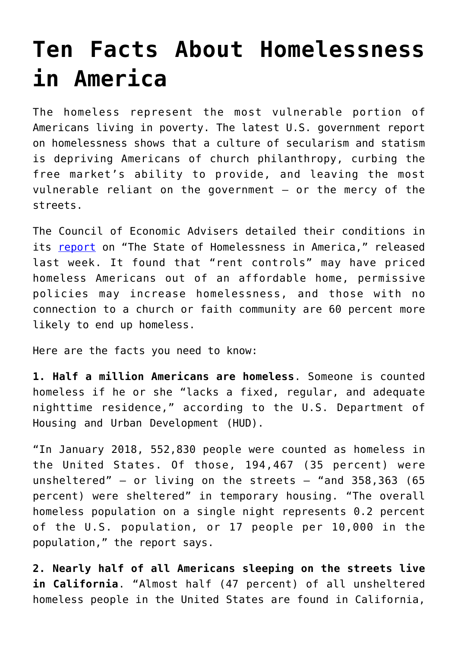## **[Ten Facts About Homelessness](https://intellectualtakeout.org/2019/09/ten-facts-about-homelessness-in-america/) [in America](https://intellectualtakeout.org/2019/09/ten-facts-about-homelessness-in-america/)**

The homeless represent the most vulnerable portion of Americans living in poverty. The latest U.S. government report on homelessness shows that a culture of secularism and statism is depriving Americans of church philanthropy, curbing the free market's ability to provide, and leaving the most vulnerable reliant on the government – or the mercy of the streets.

The Council of Economic Advisers detailed their conditions in its [report](https://www.whitehouse.gov/wp-content/uploads/2019/09/The-State-of-Homelessness-in-America.pdf) on "The State of Homelessness in America," released last week. It found that "rent controls" may have priced homeless Americans out of an affordable home, permissive policies may increase homelessness, and those with no connection to a church or faith community are 60 percent more likely to end up homeless.

Here are the facts you need to know:

**1. Half a million Americans are homeless**. Someone is counted homeless if he or she "lacks a fixed, regular, and adequate nighttime residence," according to the U.S. Department of Housing and Urban Development (HUD).

"In January 2018, 552,830 people were counted as homeless in the United States. Of those, 194,467 (35 percent) were unsheltered" – or living on the streets – "and 358,363 (65 percent) were sheltered" in temporary housing. "The overall homeless population on a single night represents 0.2 percent of the U.S. population, or 17 people per 10,000 in the population," the report says.

**2. Nearly half of all Americans sleeping on the streets live in California**. "Almost half (47 percent) of all unsheltered homeless people in the United States are found in California,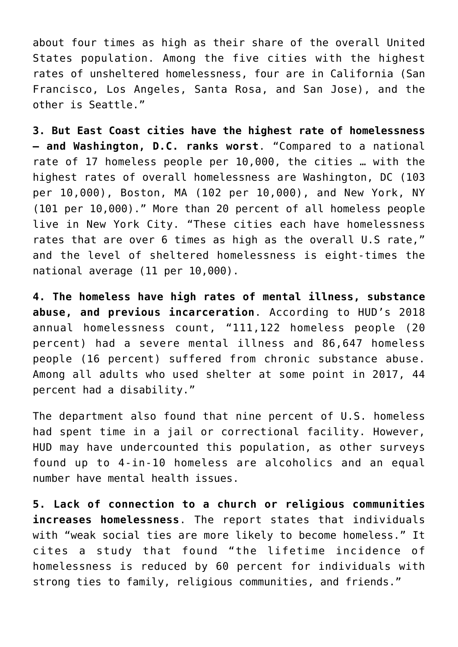about four times as high as their share of the overall United States population. Among the five cities with the highest rates of unsheltered homelessness, four are in California (San Francisco, Los Angeles, Santa Rosa, and San Jose), and the other is Seattle."

**3. But East Coast cities have the highest rate of homelessness – and Washington, D.C. ranks worst**. "Compared to a national rate of 17 homeless people per 10,000, the cities … with the highest rates of overall homelessness are Washington, DC (103 per 10,000), Boston, MA (102 per 10,000), and New York, NY (101 per 10,000)." More than 20 percent of all homeless people live in New York City. "These cities each have homelessness rates that are over 6 times as high as the overall U.S rate," and the level of sheltered homelessness is eight-times the national average (11 per 10,000).

**4. The homeless have high rates of mental illness, substance abuse, and previous incarceration**. According to HUD's 2018 annual homelessness count, "111,122 homeless people (20 percent) had a severe mental illness and 86,647 homeless people (16 percent) suffered from chronic substance abuse. Among all adults who used shelter at some point in 2017, 44 percent had a disability."

The department also found that nine percent of U.S. homeless had spent time in a jail or correctional facility. However, HUD may have undercounted this population, as other surveys found up to 4-in-10 homeless are alcoholics and an equal number have mental health issues.

**5. Lack of connection to a church or religious communities increases homelessness**. The report states that individuals with "weak social ties are more likely to become homeless." It cites a study that found "the lifetime incidence of homelessness is reduced by 60 percent for individuals with strong ties to family, religious communities, and friends."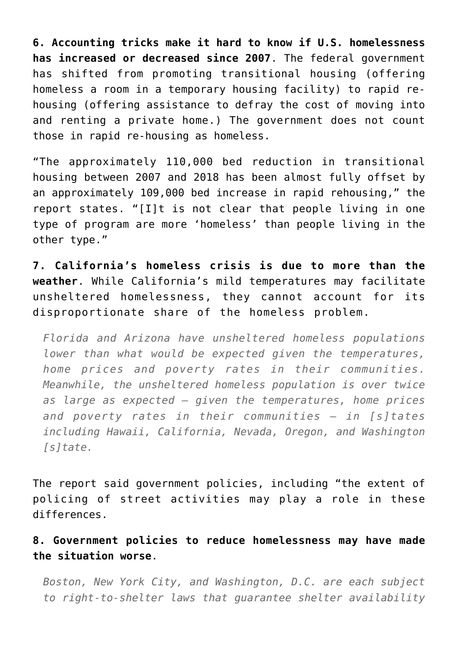**6. Accounting tricks make it hard to know if U.S. homelessness has increased or decreased since 2007**. The federal government has shifted from promoting transitional housing (offering homeless a room in a temporary housing facility) to rapid rehousing (offering assistance to defray the cost of moving into and renting a private home.) The government does not count those in rapid re-housing as homeless.

"The approximately 110,000 bed reduction in transitional housing between 2007 and 2018 has been almost fully offset by an approximately 109,000 bed increase in rapid rehousing," the report states. "[I]t is not clear that people living in one type of program are more 'homeless' than people living in the other type."

**7. California's homeless crisis is due to more than the weather**. While California's mild temperatures may facilitate unsheltered homelessness, they cannot account for its disproportionate share of the homeless problem.

*Florida and Arizona have unsheltered homeless populations lower than what would be expected given the temperatures, home prices and poverty rates in their communities. Meanwhile, the unsheltered homeless population is over twice as large as expected — given the temperatures, home prices and poverty rates in their communities — in [s]tates including Hawaii, California, Nevada, Oregon, and Washington [s]tate.* 

The report said government policies, including "the extent of policing of street activities may play a role in these differences.

**8. Government policies to reduce homelessness may have made the situation worse**.

*Boston, New York City, and Washington, D.C. are each subject to right-to-shelter laws that guarantee shelter availability*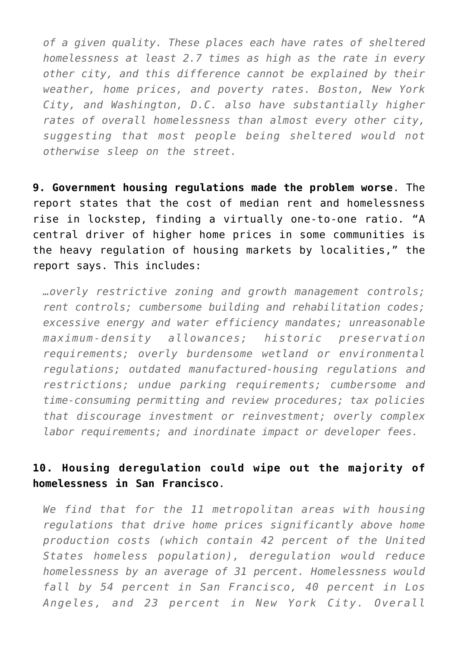*of a given quality. These places each have rates of sheltered homelessness at least 2.7 times as high as the rate in every other city, and this difference cannot be explained by their weather, home prices, and poverty rates. Boston, New York City, and Washington, D.C. also have substantially higher rates of overall homelessness than almost every other city, suggesting that most people being sheltered would not otherwise sleep on the street.*

**9. Government housing regulations made the problem worse**. The report states that the cost of median rent and homelessness rise in lockstep, finding a virtually one-to-one ratio. "A central driver of higher home prices in some communities is the heavy regulation of housing markets by localities," the report says. This includes:

*…overly restrictive zoning and growth management controls; rent controls; cumbersome building and rehabilitation codes; excessive energy and water efficiency mandates; unreasonable maximum-density allowances; historic preservation requirements; overly burdensome wetland or environmental regulations; outdated manufactured-housing regulations and restrictions; undue parking requirements; cumbersome and time-consuming permitting and review procedures; tax policies that discourage investment or reinvestment; overly complex labor requirements; and inordinate impact or developer fees.*

## **10. Housing deregulation could wipe out the majority of homelessness in San Francisco**.

*We find that for the 11 metropolitan areas with housing regulations that drive home prices significantly above home production costs (which contain 42 percent of the United States homeless population), deregulation would reduce homelessness by an average of 31 percent. Homelessness would fall by 54 percent in San Francisco, 40 percent in Los Angeles, and 23 percent in New York City. Overall*